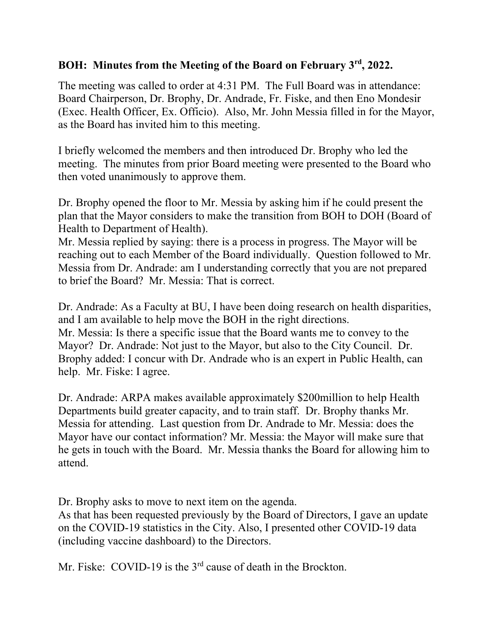## **BOH: Minutes from the Meeting of the Board on February 3rd, 2022.**

The meeting was called to order at 4:31 PM. The Full Board was in attendance: Board Chairperson, Dr. Brophy, Dr. Andrade, Fr. Fiske, and then Eno Mondesir (Exec. Health Officer, Ex. Officio). Also, Mr. John Messia filled in for the Mayor, as the Board has invited him to this meeting.

I briefly welcomed the members and then introduced Dr. Brophy who led the meeting. The minutes from prior Board meeting were presented to the Board who then voted unanimously to approve them.

Dr. Brophy opened the floor to Mr. Messia by asking him if he could present the plan that the Mayor considers to make the transition from BOH to DOH (Board of Health to Department of Health).

Mr. Messia replied by saying: there is a process in progress. The Mayor will be reaching out to each Member of the Board individually. Question followed to Mr. Messia from Dr. Andrade: am I understanding correctly that you are not prepared to brief the Board? Mr. Messia: That is correct.

Dr. Andrade: As a Faculty at BU, I have been doing research on health disparities, and I am available to help move the BOH in the right directions. Mr. Messia: Is there a specific issue that the Board wants me to convey to the Mayor? Dr. Andrade: Not just to the Mayor, but also to the City Council. Dr. Brophy added: I concur with Dr. Andrade who is an expert in Public Health, can help. Mr. Fiske: I agree.

Dr. Andrade: ARPA makes available approximately \$200million to help Health Departments build greater capacity, and to train staff. Dr. Brophy thanks Mr. Messia for attending. Last question from Dr. Andrade to Mr. Messia: does the Mayor have our contact information? Mr. Messia: the Mayor will make sure that he gets in touch with the Board. Mr. Messia thanks the Board for allowing him to attend.

Dr. Brophy asks to move to next item on the agenda.

As that has been requested previously by the Board of Directors, I gave an update on the COVID-19 statistics in the City. Also, I presented other COVID-19 data (including vaccine dashboard) to the Directors.

Mr. Fiske: COVID-19 is the 3<sup>rd</sup> cause of death in the Brockton.